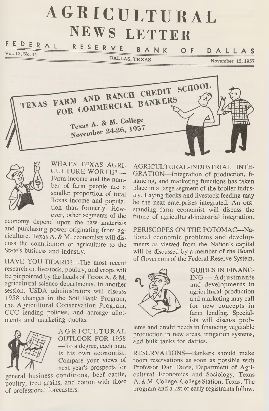# **AGRICULTURAL NEWS LETTER**

#### $F \n\nE \nD \nE R \n\nR \nL \nR \nE S \nE R \nV \nE$ BANK O F DALLAS

DALLAS, TEXAS

November 15, 1957





WHAT'S TEXAS AGRI-CULTURE WORTH? — Farm income and the number of farm people are a smaller proportion of total Texas income and population than formerly. However, other segments of the

economy depend upon the raw materials and purchasing power originating from agriculture. Texas A. & M. economists will discuss the contribution of agriculture to the State's business and industry.

HAVE YOU HEARD?—The most recent research on livestock, poultry, and crops will be pinpointed by the heads of Texas A. & M. agricultural science departments. In another session, USDA administrators will discuss 1958 changes in the Soil Bank Program, the Agricultural Conservation Program, CCC lending policies, and acreage allotments and marketing quotas.



AGRICULTURAL OUTLOOK FOR 1958 —To a degree, each man is his own economist. Compare your views of next year's prospects for

general business conditions, beef cattle, poultry, feed grains, and cotton with those of professional forecasters.

AGRICULTURAL-INDUSTRIAL INTE-GRATION—Integration of production, financing, and marketing functions has taken place in a large segment of the broiler industry. Laying flocks and livestock feeding may be the next enterprises integrated. An outstanding farm economist will discuss the future of agricultural-industrial integration.

PERISCOPES ON THE POTOMAC—National economic problems and developments as viewed from the Nation's capital will be discussed by a member of the Board of Governors of the Federal Reserve System.



GUIDES IN FINANC-ING — Adjustments and developments in agricultural production and marketing may call for new concepts in farm lending. Specialists will discuss prob-

lems and credit needs in financing vegetable production in new areas, irrigation systems, and bulk tanks for dairies.

RESERVATIONS—Bankers should make room reservations as soon as possible with Professor Dan Davis, Department of Agricultural Economics and Sociology, Texas A. & M. College, College Station, Texas. The program and a list of early registrants follow.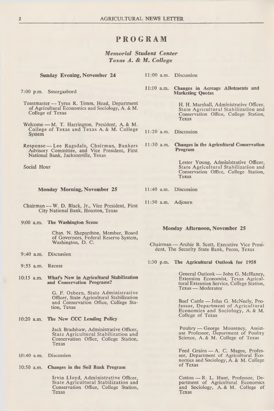## **PROGRAM**

*M em orial Student Center Texas A. & M. College*

**Sunday Evening, November 24** 11:00 a.m. Discussion

Toastmaster — Tyrus R. Timm, Head, Department of Agricultural Economics and Sociology, A. & M.

Welcome — M. T. Harrington, President, A. & M. College of Texas and Texas A. & M. College

Response — Lee Ragsdale, Chairman, Bankers Advisory Committee, and Vice President, First

Chairman — W. D. Black, Jr., Vice President, First City National Bank, Houston, Texas

National Bank, Jacksonville, Texas

7:00 p.m. Smorgasbord

College of Texas

System

Social Hour

**11:10** a.m. **Changes in Acreage Allotments and Marketing Quotas**

> H. H. Marshall, Administrative Officer, State Agricultural Stabilization and Conservation Office, College Station, Texas

11:20 a.m. Discussion

**11:30** a.m. **Changes in the Agricultural Conservation Program**

> Lester Young, Administrative Officer, State Agricultural Stabilization and Conservation Office, College Station, Texas

- **Monday Morning, November 25** 11:40 a.m. Discussion
	- 11:50 a.m. Adjourn
- **9:00 a.m. The Washington Scene**

Chas. N. Shepardson, Member, Board of Governors, Federal Reserve System, Washington, D. C.

- 9:40 a.m. Discussion
- 9:55 a.m. Recess
- **10:15 a.m. What's New in Agricultural Stabilization and Conservation Programs?**

G. F. Osborn, State Administrative Officer, State Agricultural Stabilization and Conservation Office, College Station, Texas

**10:20 a.m. The New CCC Lending Policy**

Jack Bradshaw, Administrative Officer, State Agricultural Stabilization and Conservation Office, College Station, Texas

- 10:40 a.m. Discussion
- **10:50 a.m. Changes in the Soil Bank Program**

Irvin Lloyd, Administrative Officer, State Agricultural Stabilization and Conservation Office, College Station, Texas

### **Monday Afternoon, November 25**

Chairman — Archie B. Scott, Executive Vice President, The Security State Bank, Pecos, Texas

1:30 p.m. **The Agricultural Outlook for 1958**

General Outlook — John G. McHaney, Extension Economist, Texas Agricultural Extension Service, College Station, Texas — Moderator

Beef Cattle — John G. McNeely, Professor, Department of Agricultural Economics and Sociology, A. & M. College of Texas

Poultry — George Mountney, Assistant Professor, Department of Poultry Science, A. & M. College of Texas

Feed Grains — A. C. Magee, Profes-<br>sor, Department of Agricultural Economics and Sociology, A. & M. College of Texas

Cotton — R. L. Hunt, Professor, De-<br>partment of Agricultural Economics and Sociology, A. & M. College of Texas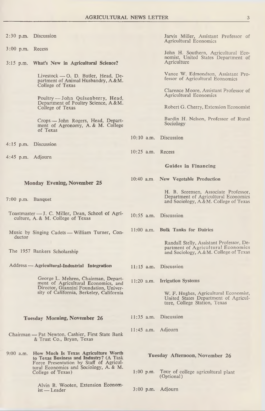- 
- 3:00 p.m. Recess
- 3:15 p.m. **What's New in Agricultural Science?** Agriculture

Livestock — O. D. Butler, Head, Department of Animal Husbandry, A.&M. College of Texas

Poultry - John Quisenberry, Head, Department of Poultry Science, A.&M. College of Texas

Crops — John Rogers, Head, Department of Agronomy, A. & M. College of Texas

4:15 p.m. Discussion

4:45 p.m. Adjourn

#### **Monday Evening, November 25**

- 7:00 p.m. Banquet
- Toastmaster J. C. Miller, Dean, School of Agriculture, A. & M. College of Texas
- Music by Singing Cadets William Turner, Conductor
- The 1957 Bankers Scholarship

#### Address — **Agricultural-Industrial Integration**

George L. Mehren, Chairman, Department of Agricultural Economics, and Director, Giannini Foundation, Univer-sity of California, Berkeley, California

#### **Tuesday Morning, November 26**

- Chairman Pat Newton, Cashier, First State Bank & Trust Co., Bryan, Texas
- 9:00 a.m. **How Much Is Texas Agriculture Worth** to **Texas Business and Industry?** (A Task Force Presentation by Staff of Agricultural Economics and Sociology, A. & M. College of Texas)

Alvin B. Wooten, Extension Economist — Leader

2:30 p.m. Discussion Jarvis Miller, Assistant Professor of Agricultural Economics

John H. Southern, Agricultural Eco-<br>nomist, United States Department of

Vance W. Edmondson, Assistant Professor of Agricultural Economics

Clarence Moore, Assistant Professor of Agricultural Economics

Robert G. Cherry, Extension Economist

Bardin H. Nelson, Professor of Rural Sociology

- 10:10 a.m. Discussion
- 10:25 a.m. Recess

#### **G uides in Financing**

**10:40** a.m **New Vegetable Production**

H. B. Sorensen, Associate Professor, Department of Agricultural Economics and Sociology, A.&M. College of Texas

- 10:55 a.m. Discussion
- **11:00 a.m. Bulk Tanks for Dairies**

Randall Stelly, Assistant Professor, Department of Agricultural Economics and Sociology, A.&M. College of Texas

- 11:15 a.m. Discussion
- **11:20 a.m. Irrigation Systems**

W. F. Hughes, Agricultural Economist, United States Department of Agriculture, College Station, Texas

- 11:35 a.m. Discussion
- 11:45 a.m. Adjourn

#### **Tuesday Afternoon, November 26**

- 1:00 p.m. Tour of college agricultural plant (Optional)
- 3:00 p.m. Adjourn